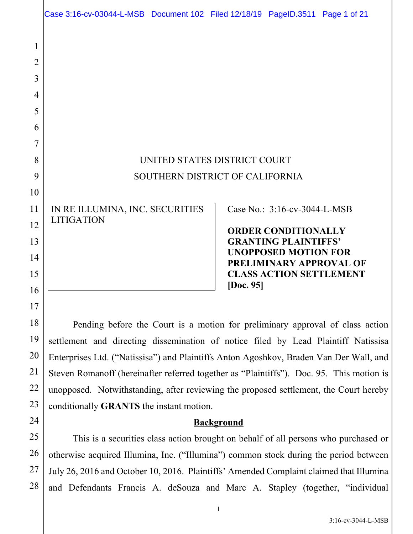|                                                              | Case 3:16-cv-03044-L-MSB Document 102 Filed 12/18/19 PageID.3511 Page 1 of 21            |                                                                                                                                                                                                           |  |
|--------------------------------------------------------------|------------------------------------------------------------------------------------------|-----------------------------------------------------------------------------------------------------------------------------------------------------------------------------------------------------------|--|
| $\mathbf{1}$<br>$\overline{2}$<br>3<br>4<br>5<br>6<br>7<br>8 | UNITED STATES DISTRICT COURT                                                             |                                                                                                                                                                                                           |  |
| 9                                                            | SOUTHERN DISTRICT OF CALIFORNIA                                                          |                                                                                                                                                                                                           |  |
| 10<br>11<br>12<br>13<br>14<br>15<br>16                       | IN RE ILLUMINA, INC. SECURITIES<br><b>LITIGATION</b>                                     | Case No.: 3:16-cv-3044-L-MSB<br><b>ORDER CONDITIONALLY</b><br><b>GRANTING PLAINTIFFS'</b><br><b>UNOPPOSED MOTION FOR</b><br><b>PRELIMINARY APPROVAL OF</b><br><b>CLASS ACTION SETTLEMENT</b><br>[Doc. 95] |  |
| 17<br>18                                                     | Pending before the Court is a motion for preliminary approval of class action            |                                                                                                                                                                                                           |  |
| 19                                                           | settlement and directing dissemination of notice filed by Lead Plaintiff Natissisa       |                                                                                                                                                                                                           |  |
| 20                                                           | Enterprises Ltd. ("Natissisa") and Plaintiffs Anton Agoshkov, Braden Van Der Wall, and   |                                                                                                                                                                                                           |  |
| 21                                                           | Steven Romanoff (hereinafter referred together as "Plaintiffs"). Doc. 95. This motion is |                                                                                                                                                                                                           |  |
| 22                                                           |                                                                                          | unopposed. Notwithstanding, after reviewing the proposed settlement, the Court hereby                                                                                                                     |  |

# conditionally **GRANTS** the instant motion.

23

24

27

## **Background**

25 26 28 This is a securities class action brought on behalf of all persons who purchased or otherwise acquired Illumina, Inc. ("Illumina") common stock during the period between July 26, 2016 and October 10, 2016. Plaintiffs' Amended Complaint claimed that Illumina and Defendants Francis A. deSouza and Marc A. Stapley (together, "individual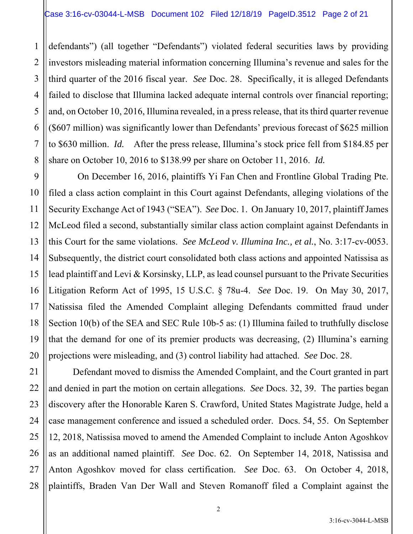2 3 4 defendants") (all together "Defendants") violated federal securities laws by providing investors misleading material information concerning Illumina's revenue and sales for the third quarter of the 2016 fiscal year. *See* Doc. 28. Specifically, it is alleged Defendants failed to disclose that Illumina lacked adequate internal controls over financial reporting; and, on October 10, 2016, Illumina revealed, in a press release, that its third quarter revenue (\$607 million) was significantly lower than Defendants' previous forecast of \$625 million to \$630 million. *Id.* After the press release, Illumina's stock price fell from \$184.85 per share on October 10, 2016 to \$138.99 per share on October 11, 2016. *Id.* 

 On December 16, 2016, plaintiffs Yi Fan Chen and Frontline Global Trading Pte. filed a class action complaint in this Court against Defendants, alleging violations of the Security Exchange Act of 1943 ("SEA"). *See* Doc. 1. On January 10, 2017, plaintiff James McLeod filed a second, substantially similar class action complaint against Defendants in this Court for the same violations. *See McLeod v. Illumina Inc., et al.*, No. 3:17-cv-0053. Subsequently, the district court consolidated both class actions and appointed Natissisa as lead plaintiff and Levi & Korsinsky, LLP, as lead counsel pursuant to the Private Securities Litigation Reform Act of 1995, 15 U.S.C. § 78u-4. *See* Doc. 19. On May 30, 2017, Natissisa filed the Amended Complaint alleging Defendants committed fraud under Section 10(b) of the SEA and SEC Rule 10b-5 as: (1) Illumina failed to truthfully disclose that the demand for one of its premier products was decreasing, (2) Illumina's earning projections were misleading, and (3) control liability had attached. *See* Doc. 28.

 Defendant moved to dismiss the Amended Complaint, and the Court granted in part and denied in part the motion on certain allegations. *See* Docs. 32, 39. The parties began discovery after the Honorable Karen S. Crawford, United States Magistrate Judge, held a case management conference and issued a scheduled order. Docs. 54, 55. On September 12, 2018, Natissisa moved to amend the Amended Complaint to include Anton Agoshkov as an additional named plaintiff. *See* Doc. 62. On September 14, 2018, Natissisa and Anton Agoshkov moved for class certification. *See* Doc. 63. On October 4, 2018, plaintiffs, Braden Van Der Wall and Steven Romanoff filed a Complaint against the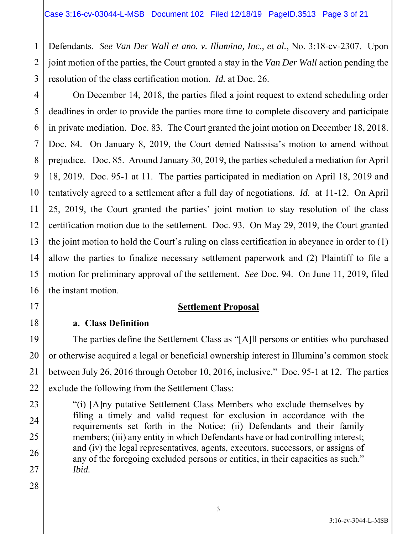Defendants. *See Van Der Wall et ano. v. Illumina, Inc., et al.*, No. 3:18-cv-2307. Upon joint motion of the parties, the Court granted a stay in the *Van Der Wall* action pending the resolution of the class certification motion. *Id.* at Doc. 26.

16 On December 14, 2018, the parties filed a joint request to extend scheduling order deadlines in order to provide the parties more time to complete discovery and participate in private mediation. Doc. 83. The Court granted the joint motion on December 18, 2018. Doc. 84. On January 8, 2019, the Court denied Natissisa's motion to amend without prejudice. Doc. 85. Around January 30, 2019, the parties scheduled a mediation for April 18, 2019. Doc. 95-1 at 11. The parties participated in mediation on April 18, 2019 and tentatively agreed to a settlement after a full day of negotiations. *Id.* at 11-12. On April 25, 2019, the Court granted the parties' joint motion to stay resolution of the class certification motion due to the settlement. Doc. 93. On May 29, 2019, the Court granted the joint motion to hold the Court's ruling on class certification in abeyance in order to (1) allow the parties to finalize necessary settlement paperwork and (2) Plaintiff to file a motion for preliminary approval of the settlement. *See* Doc. 94. On June 11, 2019, filed the instant motion.

#### **Settlement Proposal**

## **a. Class Definition**

 The parties define the Settlement Class as "[A]ll persons or entities who purchased or otherwise acquired a legal or beneficial ownership interest in Illumina's common stock between July 26, 2016 through October 10, 2016, inclusive." Doc. 95-1 at 12. The parties exclude the following from the Settlement Class:

"(i) [A]ny putative Settlement Class Members who exclude themselves by filing a timely and valid request for exclusion in accordance with the requirements set forth in the Notice; (ii) Defendants and their family members; (iii) any entity in which Defendants have or had controlling interest; and (iv) the legal representatives, agents, executors, successors, or assigns of any of the foregoing excluded persons or entities, in their capacities as such." *Ibid.*

1

2

3

4

5

6

7

8

9

10

11

12

13

14

15

17

18

19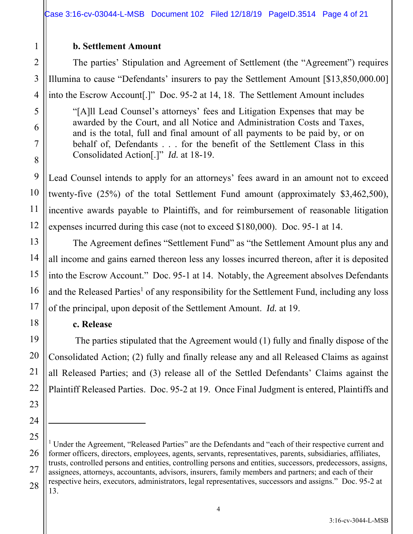## **b. Settlement Amount**

The parties' Stipulation and Agreement of Settlement (the "Agreement") requires Illumina to cause "Defendants' insurers to pay the Settlement Amount [\$13,850,000.00] into the Escrow Account[.]" Doc. 95-2 at 14, 18. The Settlement Amount includes

"[A]ll Lead Counsel's attorneys' fees and Litigation Expenses that may be awarded by the Court, and all Notice and Administration Costs and Taxes, and is the total, full and final amount of all payments to be paid by, or on behalf of, Defendants . . . for the benefit of the Settlement Class in this Consolidated Action[.]" *Id.* at 18-19.

Lead Counsel intends to apply for an attorneys' fees award in an amount not to exceed twenty-five (25%) of the total Settlement Fund amount (approximately \$3,462,500), incentive awards payable to Plaintiffs, and for reimbursement of reasonable litigation expenses incurred during this case (not to exceed \$180,000). Doc. 95-1 at 14.

The Agreement defines "Settlement Fund" as "the Settlement Amount plus any and all income and gains earned thereon less any losses incurred thereon, after it is deposited into the Escrow Account." Doc. 95-1 at 14. Notably, the Agreement absolves Defendants and the Released Parties<sup>1</sup> of any responsibility for the Settlement Fund, including any loss of the principal, upon deposit of the Settlement Amount. *Id.* at 19.

## **c. Release**

 The parties stipulated that the Agreement would (1) fully and finally dispose of the Consolidated Action; (2) fully and finally release any and all Released Claims as against all Released Parties; and (3) release all of the Settled Defendants' Claims against the Plaintiff Released Parties. Doc. 95-2 at 19. Once Final Judgment is entered, Plaintiffs and

<sup>&</sup>lt;sup>1</sup> Under the Agreement, "Released Parties" are the Defendants and "each of their respective current and former officers, directors, employees, agents, servants, representatives, parents, subsidiaries, affiliates, trusts, controlled persons and entities, controlling persons and entities, successors, predecessors, assigns, assignees, attorneys, accountants, advisors, insurers, family members and partners; and each of their respective heirs, executors, administrators, legal representatives, successors and assigns." Doc. 95-2 at 13.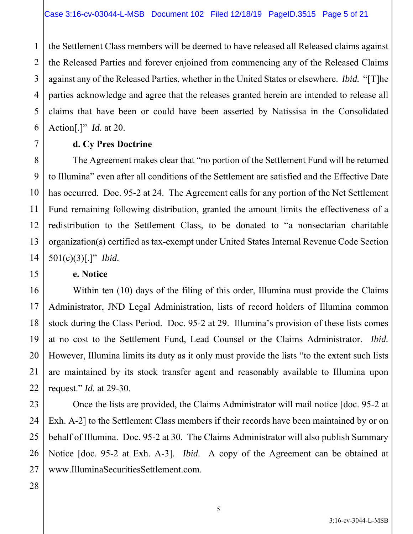4 6 the Settlement Class members will be deemed to have released all Released claims against the Released Parties and forever enjoined from commencing any of the Released Claims against any of the Released Parties, whether in the United States or elsewhere. *Ibid.* "[T]he parties acknowledge and agree that the releases granted herein are intended to release all claims that have been or could have been asserted by Natissisa in the Consolidated Action[.]" *Id.* at 20.

## **d. Cy Pres Doctrine**

 The Agreement makes clear that "no portion of the Settlement Fund will be returned to Illumina" even after all conditions of the Settlement are satisfied and the Effective Date has occurred. Doc. 95-2 at 24. The Agreement calls for any portion of the Net Settlement Fund remaining following distribution, granted the amount limits the effectiveness of a redistribution to the Settlement Class, to be donated to "a nonsectarian charitable organization(s) certified as tax-exempt under United States Internal Revenue Code Section 501(c)(3)[.]" *Ibid.*

#### **e. Notice**

 Within ten (10) days of the filing of this order, Illumina must provide the Claims Administrator, JND Legal Administration, lists of record holders of Illumina common stock during the Class Period. Doc. 95-2 at 29. Illumina's provision of these lists comes at no cost to the Settlement Fund, Lead Counsel or the Claims Administrator. *Ibid.* However, Illumina limits its duty as it only must provide the lists "to the extent such lists are maintained by its stock transfer agent and reasonably available to Illumina upon request." *Id.* at 29-30.

23 24 Once the lists are provided, the Claims Administrator will mail notice [doc. 95-2 at Exh. A-2] to the Settlement Class members if their records have been maintained by or on behalf of Illumina. Doc. 95-2 at 30. The Claims Administrator will also publish Summary Notice [doc. 95-2 at Exh. A-3]. *Ibid.* A copy of the Agreement can be obtained at www.IlluminaSecuritiesSettlement.com.

1

2

3

5

7

8

9

10

11

12

13

14

15

16

17

18

19

20

21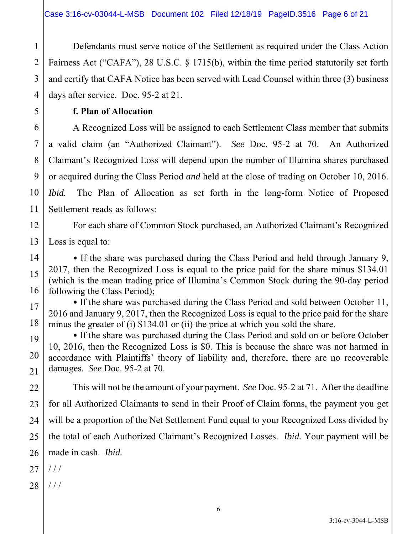1 2 3 4 Defendants must serve notice of the Settlement as required under the Class Action Fairness Act ("CAFA"), 28 U.S.C. § 1715(b), within the time period statutorily set forth and certify that CAFA Notice has been served with Lead Counsel within three (3) business days after service. Doc. 95-2 at 21.

**f. Plan of Allocation**

5

6

7

8

9

10

11

12

13

14

15

16

17

18

19

20

21

A Recognized Loss will be assigned to each Settlement Class member that submits a valid claim (an "Authorized Claimant"). *See* Doc. 95-2 at 70. An Authorized Claimant's Recognized Loss will depend upon the number of Illumina shares purchased or acquired during the Class Period *and* held at the close of trading on October 10, 2016. *Ibid.* The Plan of Allocation as set forth in the long-form Notice of Proposed Settlement reads as follows:

For each share of Common Stock purchased, an Authorized Claimant's Recognized Loss is equal to:

• If the share was purchased during the Class Period and held through January 9, 2017, then the Recognized Loss is equal to the price paid for the share minus \$134.01 (which is the mean trading price of Illumina's Common Stock during the 90-day period following the Class Period);

• If the share was purchased during the Class Period and sold between October 11, 2016 and January 9, 2017, then the Recognized Loss is equal to the price paid for the share minus the greater of (i) \$134.01 or (ii) the price at which you sold the share.

• If the share was purchased during the Class Period and sold on or before October 10, 2016, then the Recognized Loss is \$0. This is because the share was not harmed in accordance with Plaintiffs' theory of liability and, therefore, there are no recoverable damages. *See* Doc. 95-2 at 70.

22 23 24 25 26 This will not be the amount of your payment. *See* Doc. 95-2 at 71. After the deadline for all Authorized Claimants to send in their Proof of Claim forms, the payment you get will be a proportion of the Net Settlement Fund equal to your Recognized Loss divided by the total of each Authorized Claimant's Recognized Losses. *Ibid.* Your payment will be made in cash. *Ibid.* 

- 27  $/$   $/$
- 28 / / /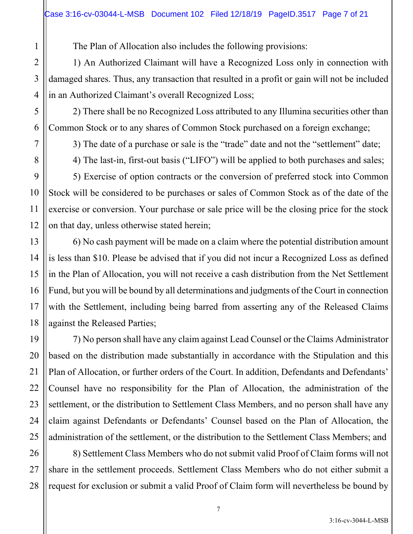The Plan of Allocation also includes the following provisions:

1) An Authorized Claimant will have a Recognized Loss only in connection with damaged shares. Thus, any transaction that resulted in a profit or gain will not be included in an Authorized Claimant's overall Recognized Loss;

2) There shall be no Recognized Loss attributed to any Illumina securities other than Common Stock or to any shares of Common Stock purchased on a foreign exchange;

3) The date of a purchase or sale is the "trade" date and not the "settlement" date;

4) The last-in, first-out basis ("LIFO") will be applied to both purchases and sales;

5) Exercise of option contracts or the conversion of preferred stock into Common Stock will be considered to be purchases or sales of Common Stock as of the date of the exercise or conversion. Your purchase or sale price will be the closing price for the stock on that day, unless otherwise stated herein;

6) No cash payment will be made on a claim where the potential distribution amount is less than \$10. Please be advised that if you did not incur a Recognized Loss as defined in the Plan of Allocation, you will not receive a cash distribution from the Net Settlement Fund, but you will be bound by all determinations and judgments of the Court in connection with the Settlement, including being barred from asserting any of the Released Claims against the Released Parties;

7) No person shall have any claim against Lead Counsel or the Claims Administrator based on the distribution made substantially in accordance with the Stipulation and this Plan of Allocation, or further orders of the Court. In addition, Defendants and Defendants' Counsel have no responsibility for the Plan of Allocation, the administration of the settlement, or the distribution to Settlement Class Members, and no person shall have any claim against Defendants or Defendants' Counsel based on the Plan of Allocation, the administration of the settlement, or the distribution to the Settlement Class Members; and

8) Settlement Class Members who do not submit valid Proof of Claim forms will not share in the settlement proceeds. Settlement Class Members who do not either submit a request for exclusion or submit a valid Proof of Claim form will nevertheless be bound by

1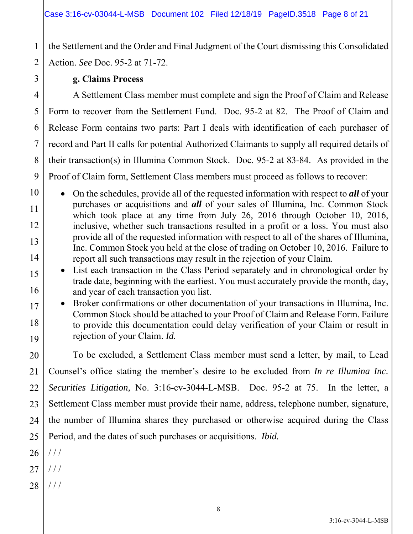the Settlement and the Order and Final Judgment of the Court dismissing this Consolidated Action. *See* Doc. 95-2 at 71-72.

## 2 3 4 5 6 7 8 9 10 11 12 13 14 15 16 17 18 19 20 21 22 23 24 25 26

1

**g. Claims Process** 

A Settlement Class member must complete and sign the Proof of Claim and Release Form to recover from the Settlement Fund. Doc. 95-2 at 82. The Proof of Claim and Release Form contains two parts: Part I deals with identification of each purchaser of record and Part II calls for potential Authorized Claimants to supply all required details of their transaction(s) in Illumina Common Stock. Doc. 95-2 at 83-84. As provided in the Proof of Claim form, Settlement Class members must proceed as follows to recover:

 On the schedules, provide all of the requested information with respect to *all* of your purchases or acquisitions and *all* of your sales of Illumina, Inc. Common Stock which took place at any time from July 26, 2016 through October 10, 2016, inclusive, whether such transactions resulted in a profit or a loss. You must also provide all of the requested information with respect to all of the shares of Illumina, Inc. Common Stock you held at the close of trading on October 10, 2016. Failure to report all such transactions may result in the rejection of your Claim.

• List each transaction in the Class Period separately and in chronological order by trade date, beginning with the earliest. You must accurately provide the month, day, and year of each transaction you list.

 Broker confirmations or other documentation of your transactions in Illumina, Inc. Common Stock should be attached to your Proof of Claim and Release Form. Failure to provide this documentation could delay verification of your Claim or result in rejection of your Claim. *Id.*

To be excluded, a Settlement Class member must send a letter, by mail, to Lead Counsel's office stating the member's desire to be excluded from *In re Illumina Inc. Securities Litigation,* No. 3:16-cv-3044-L-MSB. Doc. 95-2 at 75. In the letter, a Settlement Class member must provide their name, address, telephone number, signature, the number of Illumina shares they purchased or otherwise acquired during the Class Period, and the dates of such purchases or acquisitions. *Ibid.* 

- / / /
- 27  $/$   $/$
- 28  $//$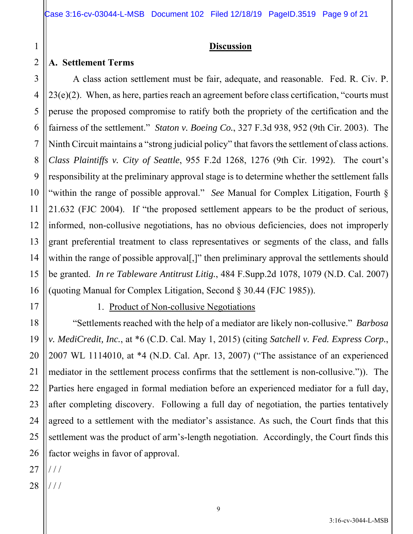## **Discussion**

#### **A. Settlement Terms**

1

2

3

4

5

6

7

8

9

10

11

12

13

14

15

16

17

18

19

20

21

22

23

24

25

26

A class action settlement must be fair, adequate, and reasonable. Fed. R. Civ. P.  $23(e)(2)$ . When, as here, parties reach an agreement before class certification, "courts must peruse the proposed compromise to ratify both the propriety of the certification and the fairness of the settlement." *Staton v. Boeing Co.*, 327 F.3d 938, 952 (9th Cir. 2003). The Ninth Circuit maintains a "strong judicial policy" that favors the settlement of class actions. *Class Plaintiffs v. City of Seattle*, 955 F.2d 1268, 1276 (9th Cir. 1992). The court's responsibility at the preliminary approval stage is to determine whether the settlement falls "within the range of possible approval." *See* Manual for Complex Litigation, Fourth § 21.632 (FJC 2004). If "the proposed settlement appears to be the product of serious, informed, non-collusive negotiations, has no obvious deficiencies, does not improperly grant preferential treatment to class representatives or segments of the class, and falls within the range of possible approval[,]" then preliminary approval the settlements should be granted. *In re Tableware Antitrust Litig.*, 484 F.Supp.2d 1078, 1079 (N.D. Cal. 2007) (quoting Manual for Complex Litigation, Second § 30.44 (FJC 1985)).

#### 1. Product of Non-collusive Negotiations

"Settlements reached with the help of a mediator are likely non-collusive." *Barbosa v. MediCredit, Inc.*, at \*6 (C.D. Cal. May 1, 2015) (citing *Satchell v. Fed. Express Corp.*, 2007 WL 1114010, at \*4 (N.D. Cal. Apr. 13, 2007) ("The assistance of an experienced mediator in the settlement process confirms that the settlement is non-collusive.")). The Parties here engaged in formal mediation before an experienced mediator for a full day, after completing discovery. Following a full day of negotiation, the parties tentatively agreed to a settlement with the mediator's assistance. As such, the Court finds that this settlement was the product of arm's-length negotiation. Accordingly, the Court finds this factor weighs in favor of approval.

27  $///$ 

28  $//$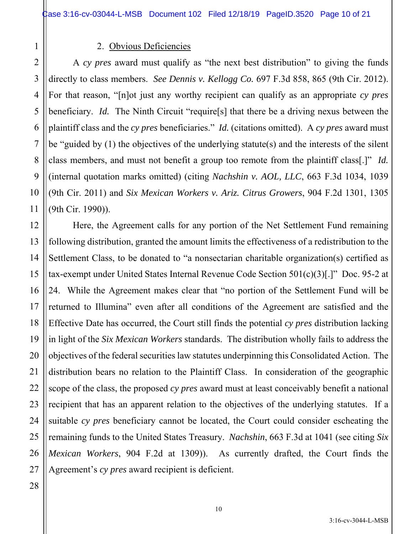1 2

3

4

5

6

7

8

9

10

11

#### 2. Obvious Deficiencies

A *cy pres* award must qualify as "the next best distribution" to giving the funds directly to class members. *See Dennis v. Kellogg Co.* 697 F.3d 858, 865 (9th Cir. 2012). For that reason, "[n]ot just any worthy recipient can qualify as an appropriate *cy pres* beneficiary. *Id.* The Ninth Circuit "require[s] that there be a driving nexus between the plaintiff class and the *cy pres* beneficiaries." *Id.* (citations omitted). A *cy pres* award must be "guided by (1) the objectives of the underlying statute(s) and the interests of the silent class members, and must not benefit a group too remote from the plaintiff class[.]" *Id.* (internal quotation marks omitted) (citing *Nachshin v. AOL, LLC*, 663 F.3d 1034, 1039 (9th Cir. 2011) and *Six Mexican Workers v. Ariz. Citrus Growers*, 904 F.2d 1301, 1305 (9th Cir. 1990)).

12 13 14 15 16 17 18 19 20 21 22 23 24 25 26 27 Here, the Agreement calls for any portion of the Net Settlement Fund remaining following distribution, granted the amount limits the effectiveness of a redistribution to the Settlement Class, to be donated to "a nonsectarian charitable organization(s) certified as tax-exempt under United States Internal Revenue Code Section 501(c)(3)[.]" Doc. 95-2 at 24. While the Agreement makes clear that "no portion of the Settlement Fund will be returned to Illumina" even after all conditions of the Agreement are satisfied and the Effective Date has occurred, the Court still finds the potential *cy pres* distribution lacking in light of the *Six Mexican Workers* standards. The distribution wholly fails to address the objectives of the federal securities law statutes underpinning this Consolidated Action. The distribution bears no relation to the Plaintiff Class. In consideration of the geographic scope of the class, the proposed *cy pres* award must at least conceivably benefit a national recipient that has an apparent relation to the objectives of the underlying statutes. If a suitable *cy pres* beneficiary cannot be located, the Court could consider escheating the remaining funds to the United States Treasury. *Nachshin*, 663 F.3d at 1041 (see citing *Six Mexican Workers*, 904 F.2d at 1309)). As currently drafted, the Court finds the Agreement's *cy pres* award recipient is deficient.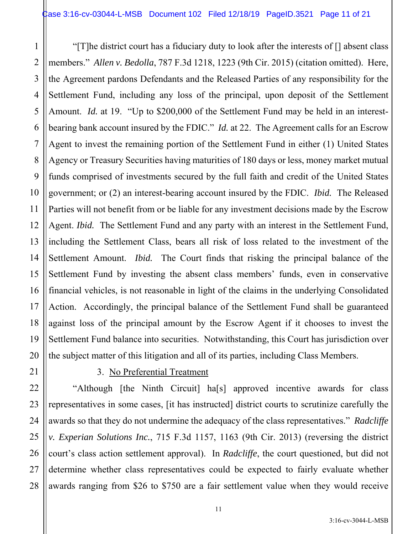1 2 3 4 5 6 7 8 9 10 11 12 13 14 15 16 17 18 19 20 "[T]he district court has a fiduciary duty to look after the interests of [] absent class members." *Allen v. Bedolla*, 787 F.3d 1218, 1223 (9th Cir. 2015) (citation omitted). Here, the Agreement pardons Defendants and the Released Parties of any responsibility for the Settlement Fund, including any loss of the principal, upon deposit of the Settlement Amount. *Id.* at 19. "Up to \$200,000 of the Settlement Fund may be held in an interestbearing bank account insured by the FDIC." *Id.* at 22. The Agreement calls for an Escrow Agent to invest the remaining portion of the Settlement Fund in either (1) United States Agency or Treasury Securities having maturities of 180 days or less, money market mutual funds comprised of investments secured by the full faith and credit of the United States government; or (2) an interest-bearing account insured by the FDIC. *Ibid.* The Released Parties will not benefit from or be liable for any investment decisions made by the Escrow Agent. *Ibid.* The Settlement Fund and any party with an interest in the Settlement Fund, including the Settlement Class, bears all risk of loss related to the investment of the Settlement Amount. *Ibid.* The Court finds that risking the principal balance of the Settlement Fund by investing the absent class members' funds, even in conservative financial vehicles, is not reasonable in light of the claims in the underlying Consolidated Action. Accordingly, the principal balance of the Settlement Fund shall be guaranteed against loss of the principal amount by the Escrow Agent if it chooses to invest the Settlement Fund balance into securities. Notwithstanding, this Court has jurisdiction over the subject matter of this litigation and all of its parties, including Class Members.

21

22

23

24

25

26

27

28

## 3. No Preferential Treatment

"Although [the Ninth Circuit] ha[s] approved incentive awards for class representatives in some cases, [it has instructed] district courts to scrutinize carefully the awards so that they do not undermine the adequacy of the class representatives." *Radcliffe v. Experian Solutions Inc.*, 715 F.3d 1157, 1163 (9th Cir. 2013) (reversing the district court's class action settlement approval). In *Radcliffe*, the court questioned, but did not determine whether class representatives could be expected to fairly evaluate whether awards ranging from \$26 to \$750 are a fair settlement value when they would receive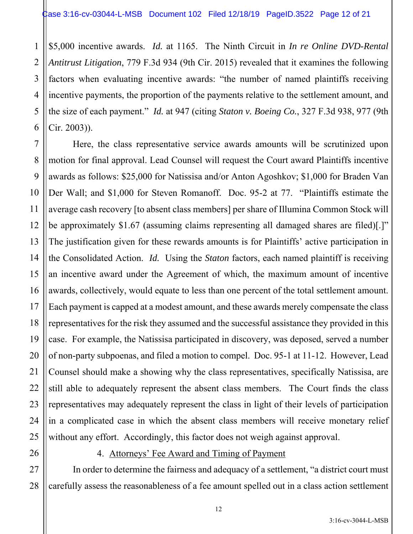1 2 3 4 5 6 \$5,000 incentive awards. *Id.* at 1165. The Ninth Circuit in *In re Online DVD-Rental Antitrust Litigation*, 779 F.3d 934 (9th Cir. 2015) revealed that it examines the following factors when evaluating incentive awards: "the number of named plaintiffs receiving incentive payments, the proportion of the payments relative to the settlement amount, and the size of each payment." *Id.* at 947 (citing *Staton v. Boeing Co.*, 327 F.3d 938, 977 (9th Cir. 2003)).

7 8 9 10 11 12 13 14 15 16 17 18 19 20 21 22 23 24 25 Here, the class representative service awards amounts will be scrutinized upon motion for final approval. Lead Counsel will request the Court award Plaintiffs incentive awards as follows: \$25,000 for Natissisa and/or Anton Agoshkov; \$1,000 for Braden Van Der Wall; and \$1,000 for Steven Romanoff. Doc. 95-2 at 77. "Plaintiffs estimate the average cash recovery [to absent class members] per share of Illumina Common Stock will be approximately \$1.67 (assuming claims representing all damaged shares are filed)[.]" The justification given for these rewards amounts is for Plaintiffs' active participation in the Consolidated Action. *Id.* Using the *Staton* factors, each named plaintiff is receiving an incentive award under the Agreement of which, the maximum amount of incentive awards, collectively, would equate to less than one percent of the total settlement amount. Each payment is capped at a modest amount, and these awards merely compensate the class representatives for the risk they assumed and the successful assistance they provided in this case. For example, the Natissisa participated in discovery, was deposed, served a number of non-party subpoenas, and filed a motion to compel. Doc. 95-1 at 11-12. However, Lead Counsel should make a showing why the class representatives, specifically Natissisa, are still able to adequately represent the absent class members. The Court finds the class representatives may adequately represent the class in light of their levels of participation in a complicated case in which the absent class members will receive monetary relief without any effort. Accordingly, this factor does not weigh against approval.

#### 26

#### 4. Attorneys' Fee Award and Timing of Payment

27 28 In order to determine the fairness and adequacy of a settlement, "a district court must carefully assess the reasonableness of a fee amount spelled out in a class action settlement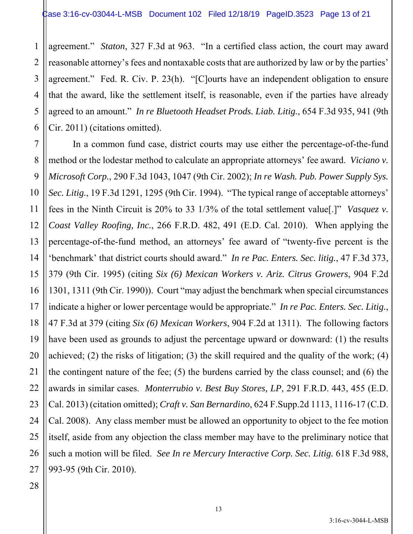1 2 3 4 5 6 agreement." *Staton*, 327 F.3d at 963."In a certified class action, the court may award reasonable attorney's fees and nontaxable costs that are authorized by law or by the parties' agreement." Fed. R. Civ. P. 23(h). "[C]ourts have an independent obligation to ensure that the award, like the settlement itself, is reasonable, even if the parties have already agreed to an amount." *In re Bluetooth Headset Prods. Liab. Litig.*, 654 F.3d 935, 941 (9th Cir. 2011) (citations omitted).

7 8 9 10 11 12 13 14 15 16 17 18 19 20 21 22 23 24 25 26 In a common fund case, district courts may use either the percentage-of-the-fund method or the lodestar method to calculate an appropriate attorneys' fee award. *Viciano v. Microsoft Corp.*, 290 F.3d 1043, 1047 (9th Cir. 2002); *In re Wash. Pub. Power Supply Sys. Sec. Litig.*, 19 F.3d 1291, 1295 (9th Cir. 1994). "The typical range of acceptable attorneys' fees in the Ninth Circuit is 20% to 33 1/3% of the total settlement value[.]" *Vasquez v. Coast Valley Roofing, Inc.*, 266 F.R.D. 482, 491 (E.D. Cal. 2010). When applying the percentage-of-the-fund method, an attorneys' fee award of "twenty-five percent is the 'benchmark' that district courts should award." *In re Pac. Enters. Sec. litig.*, 47 F.3d 373, 379 (9th Cir. 1995) (citing *Six (6) Mexican Workers v. Ariz. Citrus Growers*, 904 F.2d 1301, 1311 (9th Cir. 1990)). Court "may adjust the benchmark when special circumstances indicate a higher or lower percentage would be appropriate." *In re Pac. Enters. Sec. Litig.*, 47 F.3d at 379 (citing *Six (6) Mexican Workers*, 904 F.2d at 1311). The following factors have been used as grounds to adjust the percentage upward or downward: (1) the results achieved; (2) the risks of litigation; (3) the skill required and the quality of the work; (4) the contingent nature of the fee; (5) the burdens carried by the class counsel; and (6) the awards in similar cases. *Monterrubio v. Best Buy Stores, LP*, 291 F.R.D. 443, 455 (E.D. Cal. 2013) (citation omitted); *Craft v. San Bernardino*, 624 F.Supp.2d 1113, 1116-17 (C.D. Cal. 2008). Any class member must be allowed an opportunity to object to the fee motion itself, aside from any objection the class member may have to the preliminary notice that such a motion will be filed. *See In re Mercury Interactive Corp. Sec. Litig.* 618 F.3d 988, 993-95 (9th Cir. 2010).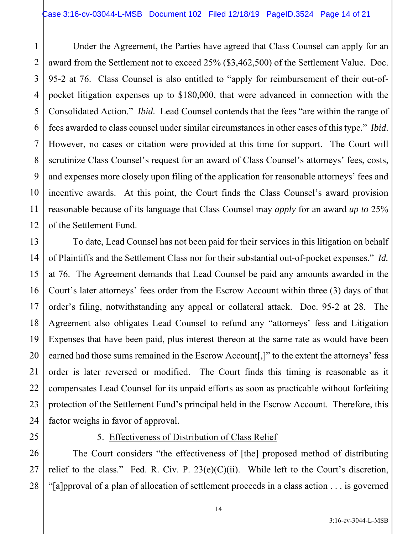Under the Agreement, the Parties have agreed that Class Counsel can apply for an award from the Settlement not to exceed 25% (\$3,462,500) of the Settlement Value. Doc. 95-2 at 76. Class Counsel is also entitled to "apply for reimbursement of their out-ofpocket litigation expenses up to \$180,000, that were advanced in connection with the Consolidated Action." *Ibid.* Lead Counsel contends that the fees "are within the range of fees awarded to class counsel under similar circumstances in other cases of this type." *Ibid*. However, no cases or citation were provided at this time for support. The Court will scrutinize Class Counsel's request for an award of Class Counsel's attorneys' fees, costs, and expenses more closely upon filing of the application for reasonable attorneys' fees and incentive awards. At this point, the Court finds the Class Counsel's award provision reasonable because of its language that Class Counsel may *apply* for an award *up to* 25% of the Settlement Fund.

16 20 24 To date, Lead Counsel has not been paid for their services in this litigation on behalf of Plaintiffs and the Settlement Class nor for their substantial out-of-pocket expenses." *Id.*  at 76. The Agreement demands that Lead Counsel be paid any amounts awarded in the Court's later attorneys' fees order from the Escrow Account within three (3) days of that order's filing, notwithstanding any appeal or collateral attack. Doc. 95-2 at 28. The Agreement also obligates Lead Counsel to refund any "attorneys' fess and Litigation Expenses that have been paid, plus interest thereon at the same rate as would have been earned had those sums remained in the Escrow Account[,]" to the extent the attorneys' fess order is later reversed or modified. The Court finds this timing is reasonable as it compensates Lead Counsel for its unpaid efforts as soon as practicable without forfeiting protection of the Settlement Fund's principal held in the Escrow Account. Therefore, this factor weighs in favor of approval.

1

2

3

4

5

6

7

8

9

10

11

12

13

14

15

17

18

19

21

22

23

25

## 5. Effectiveness of Distribution of Class Relief

26 27 28 The Court considers "the effectiveness of [the] proposed method of distributing relief to the class." Fed. R. Civ. P.  $23(e)(C)(ii)$ . While left to the Court's discretion, "[a]pproval of a plan of allocation of settlement proceeds in a class action . . . is governed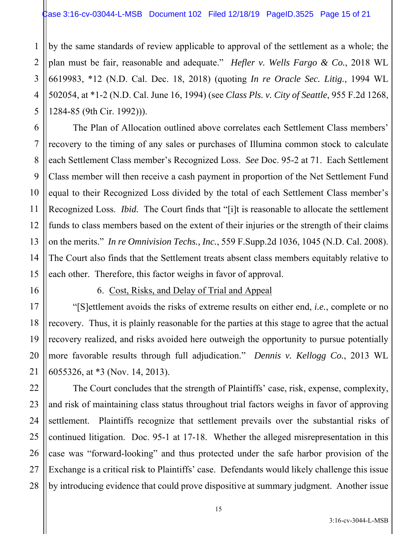by the same standards of review applicable to approval of the settlement as a whole; the plan must be fair, reasonable and adequate." *Hefler v. Wells Fargo & Co.*, 2018 WL 6619983, \*12 (N.D. Cal. Dec. 18, 2018) (quoting *In re Oracle Sec. Litig.*, 1994 WL 502054, at \*1-2 (N.D. Cal. June 16, 1994) (see *Class Pls. v. City of Seattle*, 955 F.2d 1268, 1284-85 (9th Cir. 1992))).

6 9 10 12 13 14 15 The Plan of Allocation outlined above correlates each Settlement Class members' recovery to the timing of any sales or purchases of Illumina common stock to calculate each Settlement Class member's Recognized Loss. *See* Doc. 95-2 at 71. Each Settlement Class member will then receive a cash payment in proportion of the Net Settlement Fund equal to their Recognized Loss divided by the total of each Settlement Class member's Recognized Loss. *Ibid.* The Court finds that "[i]t is reasonable to allocate the settlement funds to class members based on the extent of their injuries or the strength of their claims on the merits." *In re Omnivision Techs., Inc.*, 559 F.Supp.2d 1036, 1045 (N.D. Cal. 2008). The Court also finds that the Settlement treats absent class members equitably relative to each other. Therefore, this factor weighs in favor of approval.

16

17

18

19

20

21

1

2

3

4

5

7

8

11

#### 6. Cost, Risks, and Delay of Trial and Appeal

"[S]ettlement avoids the risks of extreme results on either end, *i.e.*, complete or no recovery. Thus, it is plainly reasonable for the parties at this stage to agree that the actual recovery realized, and risks avoided here outweigh the opportunity to pursue potentially more favorable results through full adjudication." *Dennis v. Kellogg Co.*, 2013 WL 6055326, at \*3 (Nov. 14, 2013).

22 23 24 25 26 27 28 The Court concludes that the strength of Plaintiffs' case, risk, expense, complexity, and risk of maintaining class status throughout trial factors weighs in favor of approving settlement. Plaintiffs recognize that settlement prevails over the substantial risks of continued litigation. Doc. 95-1 at 17-18. Whether the alleged misrepresentation in this case was "forward-looking" and thus protected under the safe harbor provision of the Exchange is a critical risk to Plaintiffs' case. Defendants would likely challenge this issue by introducing evidence that could prove dispositive at summary judgment. Another issue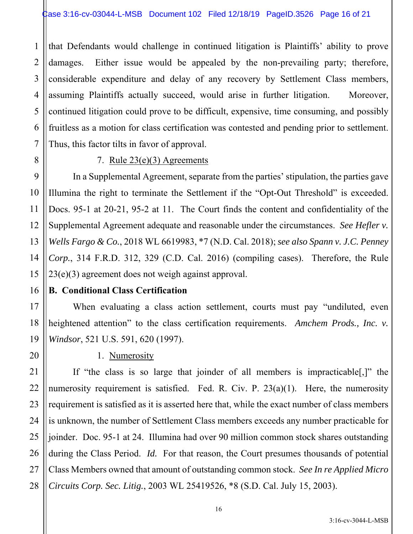1 2 3 4 5 6 7 that Defendants would challenge in continued litigation is Plaintiffs' ability to prove damages. Either issue would be appealed by the non-prevailing party; therefore, considerable expenditure and delay of any recovery by Settlement Class members, assuming Plaintiffs actually succeed, would arise in further litigation. Moreover, continued litigation could prove to be difficult, expensive, time consuming, and possibly fruitless as a motion for class certification was contested and pending prior to settlement. Thus, this factor tilts in favor of approval.

8

16

17

20

21

22

## 7. Rule 23(e)(3) Agreements

9 10 11 12 13 14 15 In a Supplemental Agreement, separate from the parties' stipulation, the parties gave Illumina the right to terminate the Settlement if the "Opt-Out Threshold" is exceeded. Docs. 95-1 at 20-21, 95-2 at 11. The Court finds the content and confidentiality of the Supplemental Agreement adequate and reasonable under the circumstances. *See Hefler v. Wells Fargo & Co.*, 2018 WL 6619983, \*7 (N.D. Cal. 2018); *see also Spann v. J.C. Penney Corp.*, 314 F.R.D. 312, 329 (C.D. Cal. 2016) (compiling cases). Therefore, the Rule 23(e)(3) agreement does not weigh against approval.

## **B. Conditional Class Certification**

18 19 When evaluating a class action settlement, courts must pay "undiluted, even heightened attention" to the class certification requirements. *Amchem Prods., Inc. v. Windsor*, 521 U.S. 591, 620 (1997).

## 1. Numerosity

23 24 25 26 27 28 If "the class is so large that joinder of all members is impracticable[,]" the numerosity requirement is satisfied. Fed. R. Civ. P.  $23(a)(1)$ . Here, the numerosity requirement is satisfied as it is asserted here that, while the exact number of class members is unknown, the number of Settlement Class members exceeds any number practicable for joinder. Doc. 95-1 at 24. Illumina had over 90 million common stock shares outstanding during the Class Period. *Id.* For that reason, the Court presumes thousands of potential Class Members owned that amount of outstanding common stock. *See In re Applied Micro Circuits Corp. Sec. Litig.*, 2003 WL 25419526, \*8 (S.D. Cal. July 15, 2003).

3:16-cv-3044-L-MSB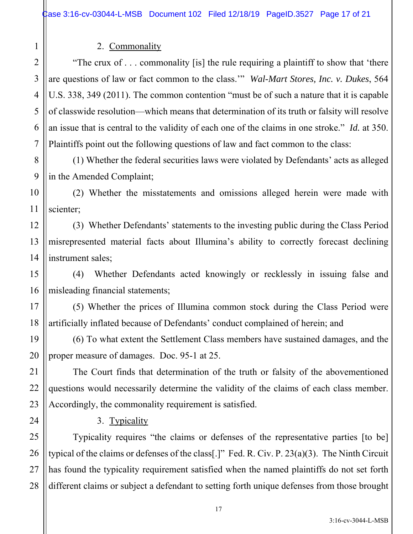## 2. Commonality

1

2

3

4

5

6

7

15

16

17

18

19

20

21

22

23

24

"The crux of . . . commonality [is] the rule requiring a plaintiff to show that 'there are questions of law or fact common to the class.'" *Wal-Mart Stores, Inc. v. Dukes*, 564 U.S. 338, 349 (2011). The common contention "must be of such a nature that it is capable of classwide resolution—which means that determination of its truth or falsity will resolve an issue that is central to the validity of each one of the claims in one stroke." *Id.* at 350. Plaintiffs point out the following questions of law and fact common to the class:

8 9 (1) Whether the federal securities laws were violated by Defendants' acts as alleged in the Amended Complaint;

10 11 (2) Whether the misstatements and omissions alleged herein were made with scienter;

12 13 14 (3) Whether Defendants' statements to the investing public during the Class Period misrepresented material facts about Illumina's ability to correctly forecast declining instrument sales;

(4) Whether Defendants acted knowingly or recklessly in issuing false and misleading financial statements;

(5) Whether the prices of Illumina common stock during the Class Period were artificially inflated because of Defendants' conduct complained of herein; and

(6) To what extent the Settlement Class members have sustained damages, and the proper measure of damages. Doc. 95-1 at 25.

The Court finds that determination of the truth or falsity of the abovementioned questions would necessarily determine the validity of the claims of each class member. Accordingly, the commonality requirement is satisfied.

3. Typicality

25 26 27 28 Typicality requires "the claims or defenses of the representative parties [to be] typical of the claims or defenses of the class[.]" Fed. R. Civ. P. 23(a)(3). The Ninth Circuit has found the typicality requirement satisfied when the named plaintiffs do not set forth different claims or subject a defendant to setting forth unique defenses from those brought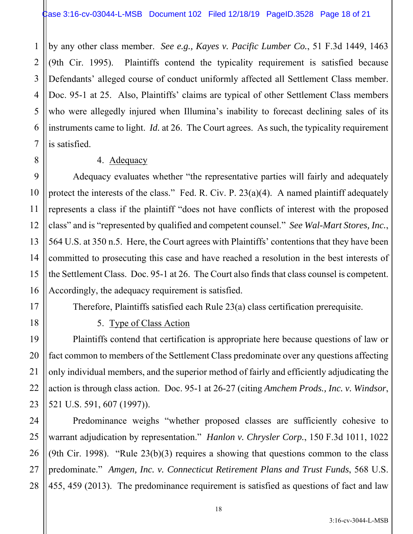by any other class member. *See e.g., Kayes v. Pacific Lumber Co.*, 51 F.3d 1449, 1463 (9th Cir. 1995). Plaintiffs contend the typicality requirement is satisfied because Defendants' alleged course of conduct uniformly affected all Settlement Class member. Doc. 95-1 at 25. Also, Plaintiffs' claims are typical of other Settlement Class members who were allegedly injured when Illumina's inability to forecast declining sales of its instruments came to light. *Id.* at 26. The Court agrees. As such, the typicality requirement is satisfied.

#### 4. Adequacy

Adequacy evaluates whether "the representative parties will fairly and adequately protect the interests of the class." Fed. R. Civ. P. 23(a)(4). A named plaintiff adequately represents a class if the plaintiff "does not have conflicts of interest with the proposed class" and is "represented by qualified and competent counsel." *See Wal-Mart Stores, Inc.*, 564 U.S. at 350 n.5. Here, the Court agrees with Plaintiffs' contentions that they have been committed to prosecuting this case and have reached a resolution in the best interests of the Settlement Class. Doc. 95-1 at 26. The Court also finds that class counsel is competent. Accordingly, the adequacy requirement is satisfied.

Therefore, Plaintiffs satisfied each Rule 23(a) class certification prerequisite.

5. Type of Class Action

Plaintiffs contend that certification is appropriate here because questions of law or fact common to members of the Settlement Class predominate over any questions affecting only individual members, and the superior method of fairly and efficiently adjudicating the action is through class action. Doc. 95-1 at 26-27 (citing *Amchem Prods., Inc. v. Windsor*, 521 U.S. 591, 607 (1997)).

Predominance weighs "whether proposed classes are sufficiently cohesive to warrant adjudication by representation." *Hanlon v. Chrysler Corp.*, 150 F.3d 1011, 1022 (9th Cir. 1998). "Rule  $23(b)(3)$  requires a showing that questions common to the class predominate." *Amgen, Inc. v. Connecticut Retirement Plans and Trust Funds*, 568 U.S. 455, 459 (2013). The predominance requirement is satisfied as questions of fact and law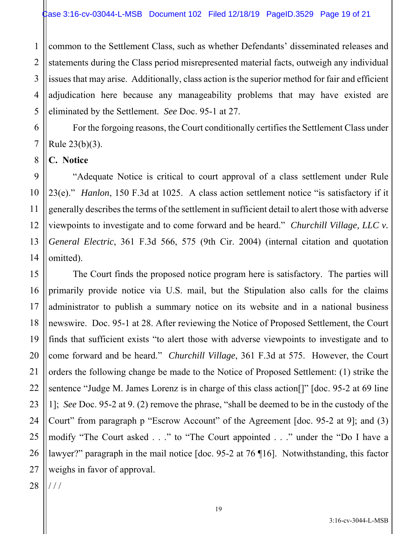1 2 3 4 5 common to the Settlement Class, such as whether Defendants' disseminated releases and statements during the Class period misrepresented material facts, outweigh any individual issues that may arise. Additionally, class action is the superior method for fair and efficient adjudication here because any manageability problems that may have existed are eliminated by the Settlement. *See* Doc. 95-1 at 27.

For the forgoing reasons, the Court conditionally certifies the Settlement Class under Rule 23(b)(3).

**C. Notice** 

6

7

8

11

9 10 12 13 14 "Adequate Notice is critical to court approval of a class settlement under Rule 23(e)." *Hanlon*, 150 F.3d at 1025. A class action settlement notice "is satisfactory if it generally describes the terms of the settlement in sufficient detail to alert those with adverse viewpoints to investigate and to come forward and be heard." *Churchill Village, LLC v. General Electric*, 361 F.3d 566, 575 (9th Cir. 2004) (internal citation and quotation omitted).

15 16 17 18 19 20 21 22 23 24 25 26 27 The Court finds the proposed notice program here is satisfactory. The parties will primarily provide notice via U.S. mail, but the Stipulation also calls for the claims administrator to publish a summary notice on its website and in a national business newswire. Doc. 95-1 at 28. After reviewing the Notice of Proposed Settlement, the Court finds that sufficient exists "to alert those with adverse viewpoints to investigate and to come forward and be heard." *Churchill Village*, 361 F.3d at 575. However, the Court orders the following change be made to the Notice of Proposed Settlement: (1) strike the sentence "Judge M. James Lorenz is in charge of this class action<sup>[]"</sup> [doc. 95-2 at 69 line 1]; *See* Doc. 95-2 at 9. (2) remove the phrase, "shall be deemed to be in the custody of the Court" from paragraph p "Escrow Account" of the Agreement [doc. 95-2 at 9]; and (3) modify "The Court asked . . ." to "The Court appointed . . ." under the "Do I have a lawyer?" paragraph in the mail notice [doc. 95-2 at 76 ¶16]. Notwithstanding, this factor weighs in favor of approval.

28  $//$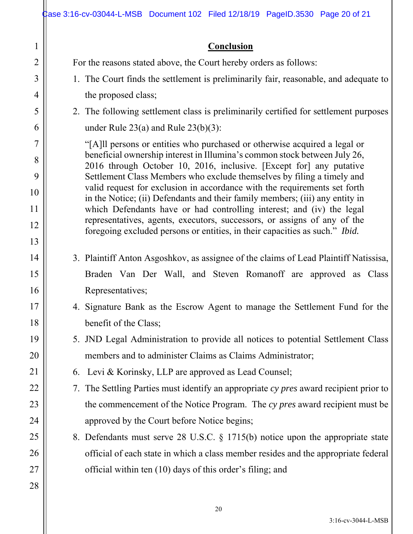#### **Conclusion**

For the reasons stated above, the Court hereby orders as follows:

1. The Court finds the settlement is preliminarily fair, reasonable, and adequate to the proposed class;

2. The following settlement class is preliminarily certified for settlement purposes under Rule 23(a) and Rule 23(b)(3):

"[A]ll persons or entities who purchased or otherwise acquired a legal or beneficial ownership interest in Illumina's common stock between July 26, 2016 through October 10, 2016, inclusive. [Except for] any putative Settlement Class Members who exclude themselves by filing a timely and valid request for exclusion in accordance with the requirements set forth in the Notice; (ii) Defendants and their family members; (iii) any entity in which Defendants have or had controlling interest; and (iv) the legal representatives, agents, executors, successors, or assigns of any of the foregoing excluded persons or entities, in their capacities as such." *Ibid.*

- 3. Plaintiff Anton Asgoshkov, as assignee of the claims of Lead Plaintiff Natissisa, Braden Van Der Wall, and Steven Romanoff are approved as Class Representatives;
- 4. Signature Bank as the Escrow Agent to manage the Settlement Fund for the benefit of the Class;
- 5. JND Legal Administration to provide all notices to potential Settlement Class members and to administer Claims as Claims Administrator;
- 6. Levi & Korinsky, LLP are approved as Lead Counsel;
- 7. The Settling Parties must identify an appropriate *cy pres* award recipient prior to the commencement of the Notice Program. The *cy pres* award recipient must be approved by the Court before Notice begins;
- 8. Defendants must serve 28 U.S.C. § 1715(b) notice upon the appropriate state official of each state in which a class member resides and the appropriate federal official within ten (10) days of this order's filing; and

1

2

3

4